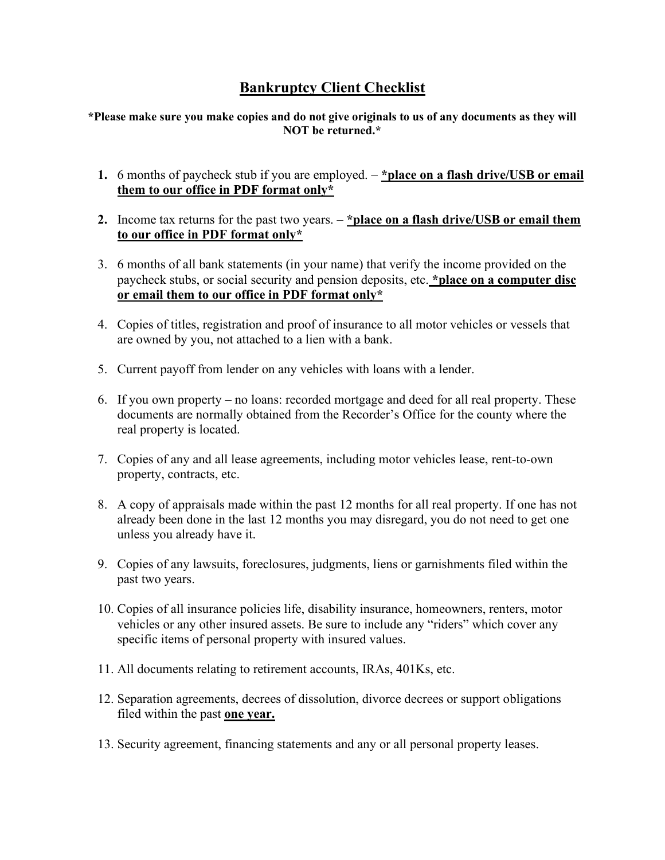## **Bankruptcy Client Checklist**

**\*Please make sure you make copies and do not give originals to us of any documents as they will NOT be returned.\***

- **1.** 6 months of paycheck stub if you are employed. **\*place on a flash drive/USB or email them to our office in PDF format only\***
- **2.** Income tax returns for the past two years. **\*place on a flash drive/USB or email them to our office in PDF format only\***
- 3. 6 months of all bank statements (in your name) that verify the income provided on the paycheck stubs, or social security and pension deposits, etc. **\*place on a computer disc or email them to our office in PDF format only\***
- 4. Copies of titles, registration and proof of insurance to all motor vehicles or vessels that are owned by you, not attached to a lien with a bank.
- 5. Current payoff from lender on any vehicles with loans with a lender.
- 6. If you own property no loans: recorded mortgage and deed for all real property. These documents are normally obtained from the Recorder's Office for the county where the real property is located.
- 7. Copies of any and all lease agreements, including motor vehicles lease, rent-to-own property, contracts, etc.
- 8. A copy of appraisals made within the past 12 months for all real property. If one has not already been done in the last 12 months you may disregard, you do not need to get one unless you already have it.
- 9. Copies of any lawsuits, foreclosures, judgments, liens or garnishments filed within the past two years.
- 10. Copies of all insurance policies life, disability insurance, homeowners, renters, motor vehicles or any other insured assets. Be sure to include any "riders" which cover any specific items of personal property with insured values.
- 11. All documents relating to retirement accounts, IRAs, 401Ks, etc.
- 12. Separation agreements, decrees of dissolution, divorce decrees or support obligations filed within the past **one year.**
- 13. Security agreement, financing statements and any or all personal property leases.